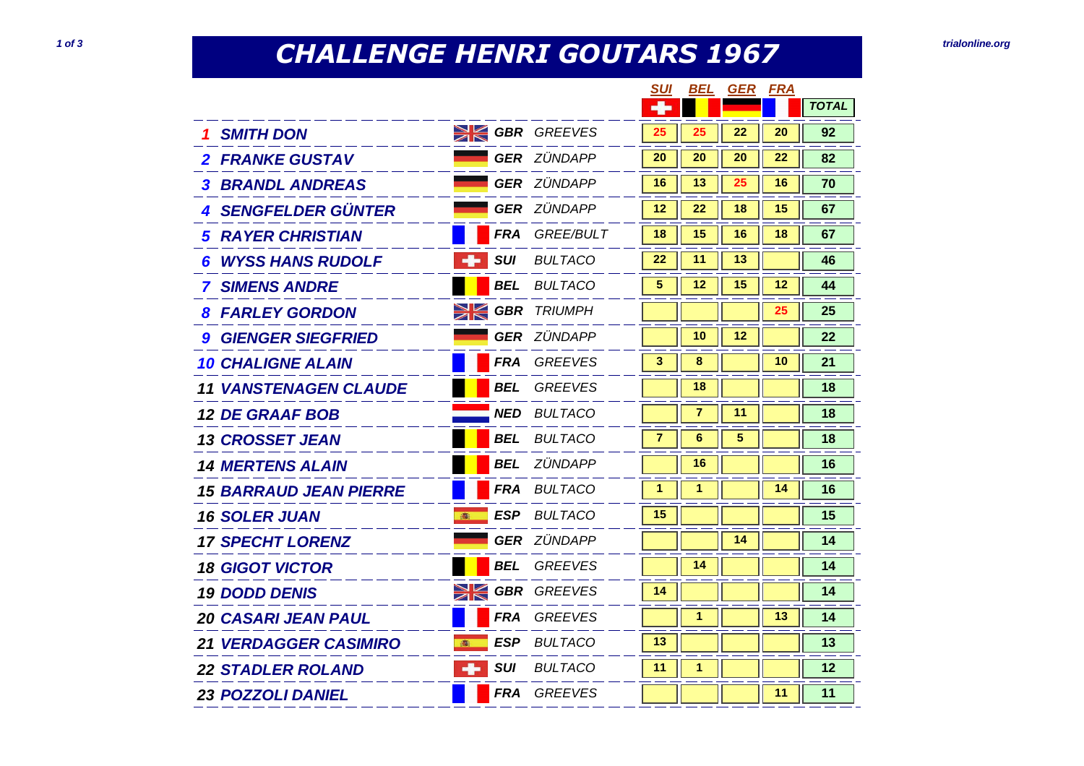## **CHALLENGE HENRI GOUTARS 1967 1 of 3** *trialonline.org***</del>**

|                               |                      |                    | SUI | BEL     | <b>GER</b> | <u>FRA</u> |              |
|-------------------------------|----------------------|--------------------|-----|---------|------------|------------|--------------|
|                               |                      |                    |     |         |            |            | <b>TOTAL</b> |
| <b>SMITH DON</b>              | <b>SIGBR</b> GREEVES |                    | 25  | 25      | 22         | 20         | 92           |
| <b>2 FRANKE GUSTAV</b>        |                      | <b>GER ZÜNDAPP</b> | 20  | 20      | 20         | 22         | 82           |
| <b>3 BRANDL ANDREAS</b>       |                      | <b>GER ZÜNDAPP</b> | 16  | 13      | 25         | 16         | 70           |
| <b>4 SENGFELDER GÜNTER</b>    |                      | <b>GER</b> ZÜNDAPP | 12  | 22      | 18         | 15         | 67           |
| <b>RAYER CHRISTIAN</b><br>5.  | FRA                  | <i>GREE/BULT</i>   | 18  | 15      | 16         | 18         | 67           |
| <b>WYSS HANS RUDOLF</b><br>6  | <b>SUI</b><br>÷      | <b>BULTACO</b>     | 22  | 11      | 13         |            | 46           |
| <b>7 SIMENS ANDRE</b>         | BEL                  | <b>BULTACO</b>     | 5   | $12 \,$ | 15         | $12 \,$    | 44           |
| <b>8 FARLEY GORDON</b>        | $\geqslant$          | <b>GBR</b> TRIUMPH |     |         |            | 25         | 25           |
| <b>GIENGER SIEGFRIED</b>      |                      | <b>GER</b> ZÜNDAPP |     | 10      | $12 \,$    |            | 22           |
| <b>10 CHALIGNE ALAIN</b>      |                      | <b>FRA</b> GREEVES | 3   | 8       |            | 10         | 21           |
| <b>11 VANSTENAGEN CLAUDE</b>  | BEL                  | <b>GREEVES</b>     |     | 18      |            |            | 18           |
| <b>12 DE GRAAF BOB</b>        |                      | <b>NED BULTACO</b> |     | 7       | 11         |            | 18           |
| <b>13 CROSSET JEAN</b>        | BEL                  | <b>BULTACO</b>     | 7   | 6       | 5          |            | 18           |
| <b>14 MERTENS ALAIN</b>       | BEL                  | ZÜNDAPP            |     | 16      |            |            | 16           |
| <b>15 BARRAUD JEAN PIERRE</b> | <b>FRA</b>           | <i>BULTACO</i>     | 1   | 1       |            | 14         | 16           |
| <b>16 SOLER JUAN</b>          | ESP<br>高             | BULTACO            | 15  |         |            |            | 15           |
| <b>17 SPECHT LORENZ</b>       |                      | <b>GER ZÜNDAPP</b> |     |         | 14         |            | 14           |
| <b>18 GIGOT VICTOR</b>        | <b>BEL</b>           | <b>GREEVES</b>     |     | 14      |            |            | 14           |
| <b>19 DODD DENIS</b>          | $\geqslant$          | <b>GBR</b> GREEVES | 14  |         |            |            | 14           |
| <b>20 CASARI JEAN PAUL</b>    | <b>FRA</b>           | <b>GREEVES</b>     |     | 1       |            | 13         | 14           |
| <b>21 VERDAGGER CASIMIRO</b>  | <b>ESP</b><br>高      | <b>BULTACO</b>     | 13  |         |            |            | 13           |
| <b>22 STADLER ROLAND</b>      | <b>SUI</b><br>--     | <b>BULTACO</b>     | 11  | 1       |            |            | 12           |
| <b>23 POZZOLI DANIEL</b>      |                      | FRA GREEVES        |     |         |            | 11         | 11           |
|                               |                      |                    |     |         |            |            |              |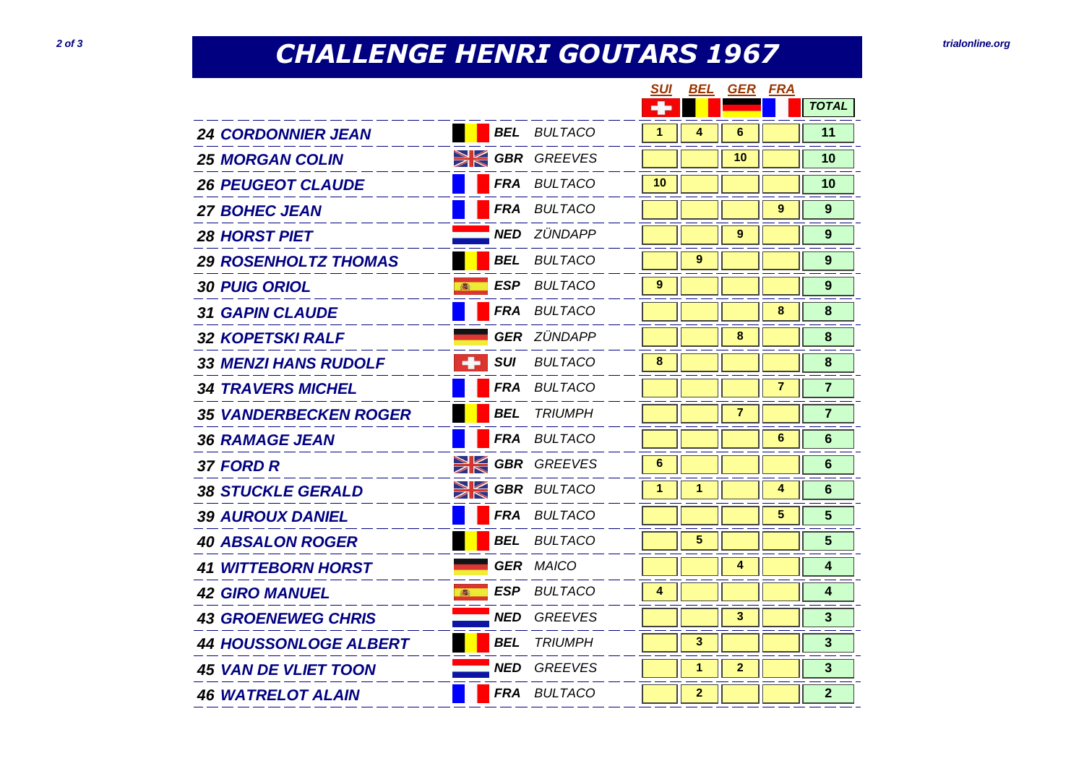## **CHALLENGE HENRI GOUTARS 1967 20f** *2 of 3 trialonline.org*

|                              |                 |                       | <b>SUI</b> | BEL            | <b>GER</b>              | <b>FRA</b>     |                |
|------------------------------|-----------------|-----------------------|------------|----------------|-------------------------|----------------|----------------|
|                              |                 |                       | ٠          |                |                         |                | <b>TOTAL</b>   |
| <b>24 CORDONNIER JEAN</b>    |                 | <b>BEL</b> BULTACO    | 1          | 4              | 6                       |                | 11             |
| <b>25 MORGAN COLIN</b>       |                 | <b>SK GBR</b> GREEVES |            |                | 10                      |                | 10             |
| <b>26 PEUGEOT CLAUDE</b>     |                 | FRA BULTACO           | 10         |                |                         |                | 10             |
| <b>27 BOHEC JEAN</b>         |                 | FRA BULTACO           |            |                |                         | 9              | 9              |
| <b>28 HORST PIET</b>         |                 | <b>NED</b> ZÜNDAPP    |            |                | 9                       |                | 9              |
| <b>29 ROSENHOLTZ THOMAS</b>  |                 | <b>BEL</b> BULTACO    |            | 9              |                         |                | 9              |
| <b>30 PUIG ORIOL</b><br>●    |                 | <b>ESP</b> BULTACO    | 9          |                |                         |                | 9              |
| <b>31 GAPIN CLAUDE</b>       |                 | <b>FRA BULTACO</b>    |            |                |                         | 8              | 8              |
| <b>32 KOPETSKI RALF</b>      |                 | <b>GER ZÜNDAPP</b>    |            |                | 8                       |                | 8              |
| <b>33 MENZI HANS RUDOLF</b>  | <b>SUI</b><br>÷ | <b>BULTACO</b>        | 8          |                |                         |                | 8              |
| <b>34 TRAVERS MICHEL</b>     |                 | FRA BULTACO           |            |                |                         | $\overline{7}$ | $\overline{7}$ |
| <b>35 VANDERBECKEN ROGER</b> | BEL             | <i>TRIUMPH</i>        |            |                | $\overline{\mathbf{r}}$ |                | $\overline{7}$ |
| <b>36 RAMAGE JEAN</b>        |                 | FRA BULTACO           |            |                |                         | 6              | 6              |
| 37 FORD R                    |                 | <b>SK GBR</b> GREEVES | 6          |                |                         |                | 6              |
| <b>38 STUCKLE GERALD</b>     | XK              | <b>GBR</b> BULTACO    | 1          | 1              |                         | 4              | 6              |
| <b>39 AUROUX DANIEL</b>      |                 | FRA BULTACO           |            |                |                         | 5              | 5              |
| <b>40 ABSALON ROGER</b>      | <b>BEL</b>      | <b>BULTACO</b>        |            | 5              |                         |                | 5              |
| <b>41 WITTEBORN HORST</b>    |                 | <b>GER MAICO</b>      |            |                | 4                       |                | 4              |
| <b>42 GIRO MANUEL</b><br>高   | ESP             | BULTACO               | 4          |                |                         |                | 4              |
| <b>43 GROENEWEG CHRIS</b>    | <b>NED</b>      | <b>GREEVES</b>        |            |                | 3                       |                | $\mathbf{3}$   |
| <b>44 HOUSSONLOGE ALBERT</b> | <b>BEL</b>      | <b>TRIUMPH</b>        |            | 3              |                         |                | $\mathbf{3}$   |
| <b>45 VAN DE VLIET TOON</b>  | <b>NED</b>      | GREEVES               |            | 1              | $\mathbf{2}$            |                | 3              |
| <b>46 WATRELOT ALAIN</b>     |                 | FRA BULTACO           |            | $\overline{2}$ |                         |                | $\overline{2}$ |
|                              |                 |                       |            |                |                         |                |                |